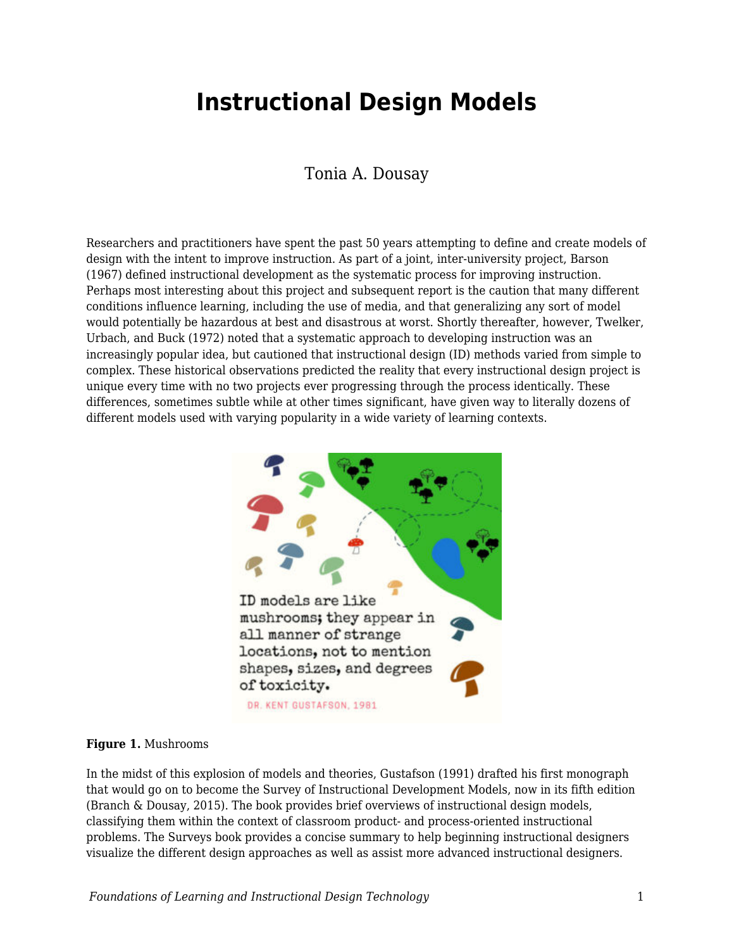# **Instructional Design Models**

## Tonia A. Dousay

Researchers and practitioners have spent the past 50 years attempting to define and create models of design with the intent to improve instruction. As part of a joint, inter-university project, Barson (1967) defined instructional development as the systematic process for improving instruction. Perhaps most interesting about this project and subsequent report is the caution that many different conditions influence learning, including the use of media, and that generalizing any sort of model would potentially be hazardous at best and disastrous at worst. Shortly thereafter, however, Twelker, Urbach, and Buck (1972) noted that a systematic approach to developing instruction was an increasingly popular idea, but cautioned that instructional design (ID) methods varied from simple to complex. These historical observations predicted the reality that every instructional design project is unique every time with no two projects ever progressing through the process identically. These differences, sometimes subtle while at other times significant, have given way to literally dozens of different models used with varying popularity in a wide variety of learning contexts.



#### **Figure 1.** Mushrooms

In the midst of this explosion of models and theories, Gustafson (1991) drafted his first monograph that would go on to become the Survey of Instructional Development Models, now in its fifth edition (Branch & Dousay, 2015). The book provides brief overviews of instructional design models, classifying them within the context of classroom product- and process-oriented instructional problems. The Surveys book provides a concise summary to help beginning instructional designers visualize the different design approaches as well as assist more advanced instructional designers.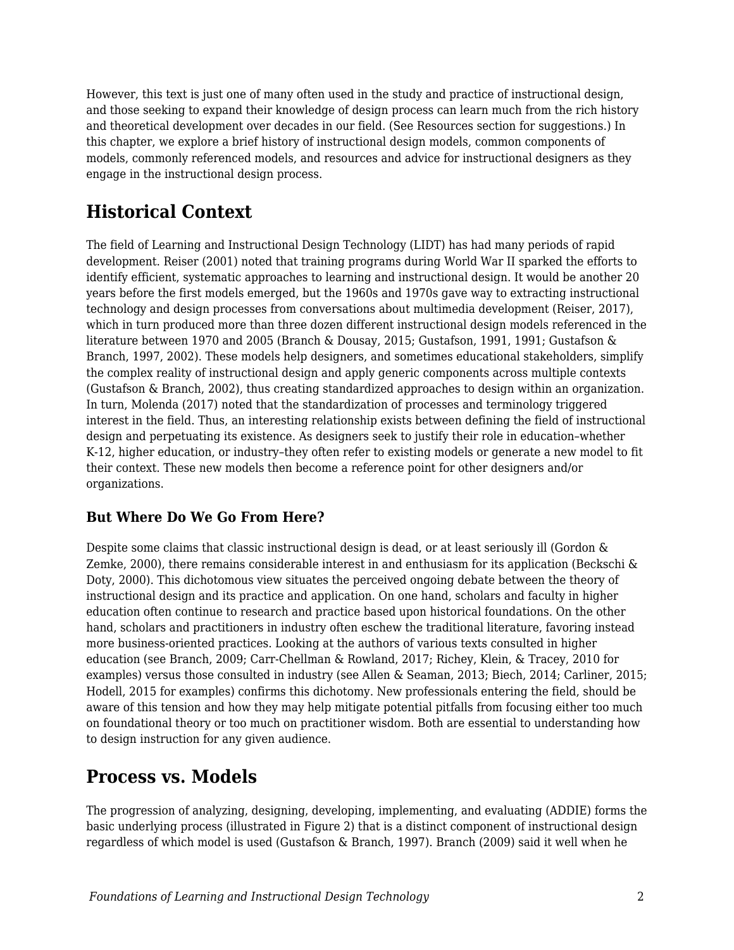However, this text is just one of many often used in the study and practice of instructional design, and those seeking to expand their knowledge of design process can learn much from the rich history and theoretical development over decades in our field. (See Resources section for suggestions.) In this chapter, we explore a brief history of instructional design models, common components of models, commonly referenced models, and resources and advice for instructional designers as they engage in the instructional design process.

# **Historical Context**

The field of Learning and Instructional Design Technology (LIDT) has had many periods of rapid development. Reiser (2001) noted that training programs during World War II sparked the efforts to identify efficient, systematic approaches to learning and instructional design. It would be another 20 years before the first models emerged, but the 1960s and 1970s gave way to extracting instructional technology and design processes from conversations about multimedia development (Reiser, 2017), which in turn produced more than three dozen different instructional design models referenced in the literature between 1970 and 2005 (Branch & Dousay, 2015; Gustafson, 1991, 1991; Gustafson & Branch, 1997, 2002). These models help designers, and sometimes educational stakeholders, simplify the complex reality of instructional design and apply generic components across multiple contexts (Gustafson & Branch, 2002), thus creating standardized approaches to design within an organization. In turn, Molenda (2017) noted that the standardization of processes and terminology triggered interest in the field. Thus, an interesting relationship exists between defining the field of instructional design and perpetuating its existence. As designers seek to justify their role in education–whether K-12, higher education, or industry–they often refer to existing models or generate a new model to fit their context. These new models then become a reference point for other designers and/or organizations.

## **But Where Do We Go From Here?**

Despite some claims that classic instructional design is dead, or at least seriously ill (Gordon & Zemke, 2000), there remains considerable interest in and enthusiasm for its application (Beckschi & Doty, 2000). This dichotomous view situates the perceived ongoing debate between the theory of instructional design and its practice and application. On one hand, scholars and faculty in higher education often continue to research and practice based upon historical foundations. On the other hand, scholars and practitioners in industry often eschew the traditional literature, favoring instead more business-oriented practices. Looking at the authors of various texts consulted in higher education (see Branch, 2009; Carr-Chellman & Rowland, 2017; Richey, Klein, & Tracey, 2010 for examples) versus those consulted in industry (see Allen & Seaman, 2013; Biech, 2014; Carliner, 2015; Hodell, 2015 for examples) confirms this dichotomy. New professionals entering the field, should be aware of this tension and how they may help mitigate potential pitfalls from focusing either too much on foundational theory or too much on practitioner wisdom. Both are essential to understanding how to design instruction for any given audience.

## **Process vs. Models**

The progression of analyzing, designing, developing, implementing, and evaluating (ADDIE) forms the basic underlying process (illustrated in Figure 2) that is a distinct component of instructional design regardless of which model is used (Gustafson & Branch, 1997). Branch (2009) said it well when he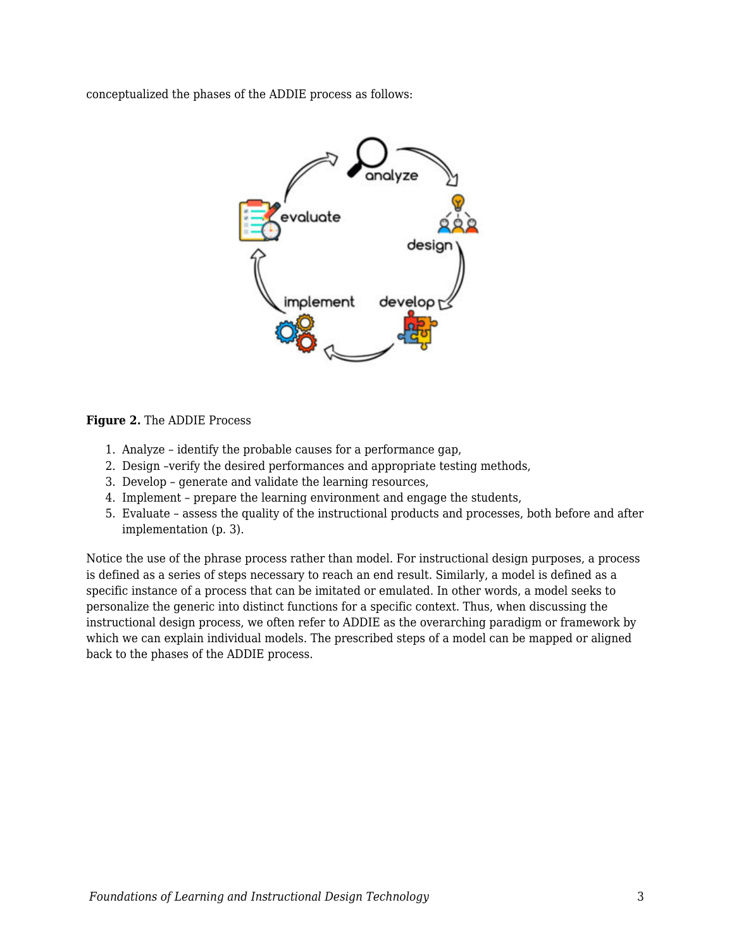conceptualized the phases of the ADDIE process as follows:



**Figure 2.** The ADDIE Process

- 1. Analyze identify the probable causes for a performance gap,
- 2. Design –verify the desired performances and appropriate testing methods,
- 3. Develop generate and validate the learning resources,
- 4. Implement prepare the learning environment and engage the students,
- 5. Evaluate assess the quality of the instructional products and processes, both before and after implementation (p. 3).

Notice the use of the phrase process rather than model. For instructional design purposes, a process is defined as a series of steps necessary to reach an end result. Similarly, a model is defined as a specific instance of a process that can be imitated or emulated. In other words, a model seeks to personalize the generic into distinct functions for a specific context. Thus, when discussing the instructional design process, we often refer to ADDIE as the overarching paradigm or framework by which we can explain individual models. The prescribed steps of a model can be mapped or aligned back to the phases of the ADDIE process.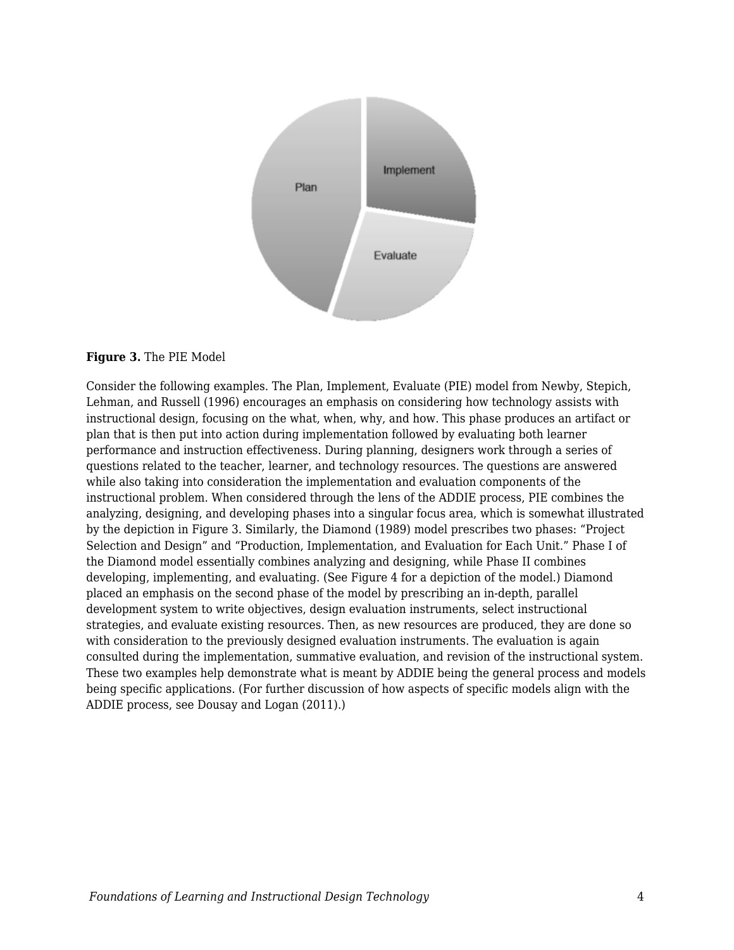

### **Figure 3.** The PIE Model

Consider the following examples. The Plan, Implement, Evaluate (PIE) model from Newby, Stepich, Lehman, and Russell (1996) encourages an emphasis on considering how technology assists with instructional design, focusing on the what, when, why, and how. This phase produces an artifact or plan that is then put into action during implementation followed by evaluating both learner performance and instruction effectiveness. During planning, designers work through a series of questions related to the teacher, learner, and technology resources. The questions are answered while also taking into consideration the implementation and evaluation components of the instructional problem. When considered through the lens of the ADDIE process, PIE combines the analyzing, designing, and developing phases into a singular focus area, which is somewhat illustrated by the depiction in Figure 3. Similarly, the Diamond (1989) model prescribes two phases: "Project Selection and Design" and "Production, Implementation, and Evaluation for Each Unit." Phase I of the Diamond model essentially combines analyzing and designing, while Phase II combines developing, implementing, and evaluating. (See Figure 4 for a depiction of the model.) Diamond placed an emphasis on the second phase of the model by prescribing an in-depth, parallel development system to write objectives, design evaluation instruments, select instructional strategies, and evaluate existing resources. Then, as new resources are produced, they are done so with consideration to the previously designed evaluation instruments. The evaluation is again consulted during the implementation, summative evaluation, and revision of the instructional system. These two examples help demonstrate what is meant by ADDIE being the general process and models being specific applications. (For further discussion of how aspects of specific models align with the ADDIE process, see Dousay and Logan (2011).)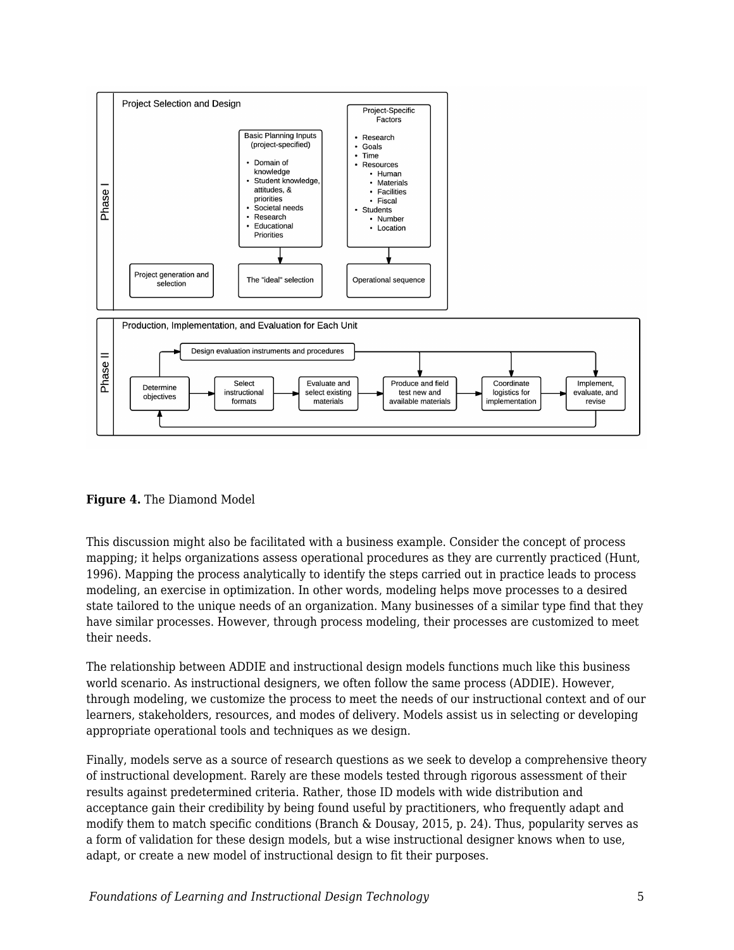

**Figure 4.** The Diamond Model

This discussion might also be facilitated with a business example. Consider the concept of process mapping; it helps organizations assess operational procedures as they are currently practiced (Hunt, 1996). Mapping the process analytically to identify the steps carried out in practice leads to process modeling, an exercise in optimization. In other words, modeling helps move processes to a desired state tailored to the unique needs of an organization. Many businesses of a similar type find that they have similar processes. However, through process modeling, their processes are customized to meet their needs.

The relationship between ADDIE and instructional design models functions much like this business world scenario. As instructional designers, we often follow the same process (ADDIE). However, through modeling, we customize the process to meet the needs of our instructional context and of our learners, stakeholders, resources, and modes of delivery. Models assist us in selecting or developing appropriate operational tools and techniques as we design.

Finally, models serve as a source of research questions as we seek to develop a comprehensive theory of instructional development. Rarely are these models tested through rigorous assessment of their results against predetermined criteria. Rather, those ID models with wide distribution and acceptance gain their credibility by being found useful by practitioners, who frequently adapt and modify them to match specific conditions (Branch & Dousay, 2015, p. 24). Thus, popularity serves as a form of validation for these design models, but a wise instructional designer knows when to use, adapt, or create a new model of instructional design to fit their purposes.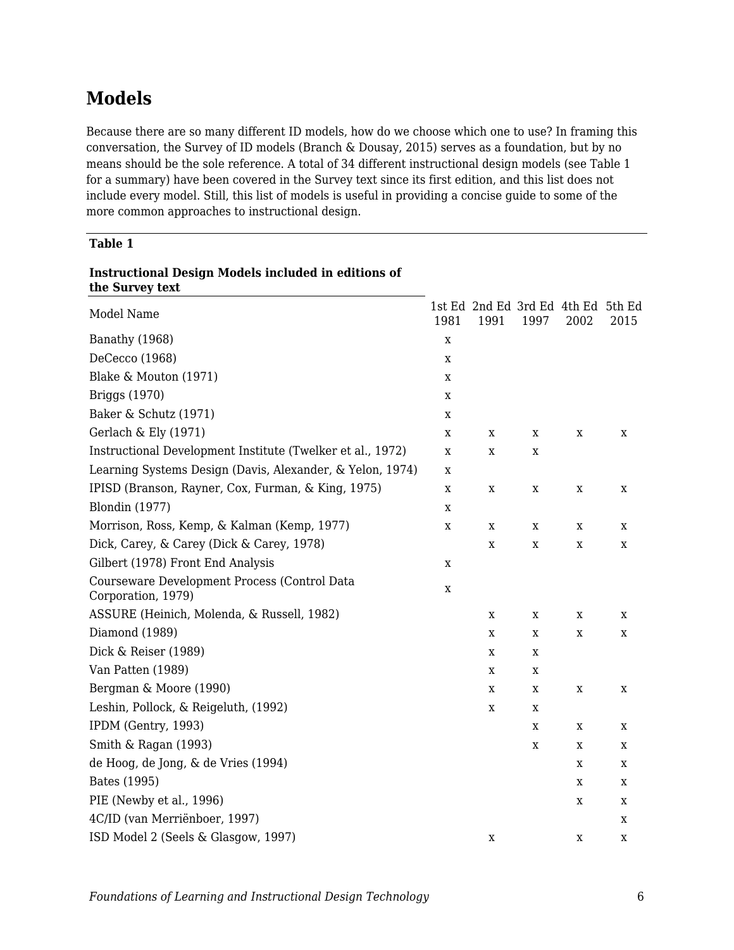# **Models**

Because there are so many different ID models, how do we choose which one to use? In framing this conversation, the Survey of ID models (Branch & Dousay, 2015) serves as a foundation, but by no means should be the sole reference. A total of 34 different instructional design models (see Table 1 for a summary) have been covered in the Survey text since its first edition, and this list does not include every model. Still, this list of models is useful in providing a concise guide to some of the more common approaches to instructional design.

### **Table 1**

| the Survey text                                                    |             |                                            |      |      |      |
|--------------------------------------------------------------------|-------------|--------------------------------------------|------|------|------|
| Model Name                                                         | 1981        | 1st Ed 2nd Ed 3rd Ed 4th Ed 5th Ed<br>1991 | 1997 | 2002 | 2015 |
| Banathy (1968)                                                     | X           |                                            |      |      |      |
| DeCecco (1968)                                                     | X           |                                            |      |      |      |
| Blake & Mouton (1971)                                              | X           |                                            |      |      |      |
| Briggs (1970)                                                      | X           |                                            |      |      |      |
| Baker & Schutz (1971)                                              | X           |                                            |      |      |      |
| Gerlach & Ely (1971)                                               | X           | X                                          | X    | X    | X    |
| Instructional Development Institute (Twelker et al., 1972)         | X           | X                                          | X    |      |      |
| Learning Systems Design (Davis, Alexander, & Yelon, 1974)          | X           |                                            |      |      |      |
| IPISD (Branson, Rayner, Cox, Furman, & King, 1975)                 | X           | X                                          | X    | X    | X    |
| <b>Blondin</b> (1977)                                              | X           |                                            |      |      |      |
| Morrison, Ross, Kemp, & Kalman (Kemp, 1977)                        | X           | X                                          | X    | X    | X    |
| Dick, Carey, & Carey (Dick & Carey, 1978)                          |             | X                                          | X    | X    | X    |
| Gilbert (1978) Front End Analysis                                  | X           |                                            |      |      |      |
| Courseware Development Process (Control Data<br>Corporation, 1979) | $\mathbf X$ |                                            |      |      |      |
| ASSURE (Heinich, Molenda, & Russell, 1982)                         |             | X                                          | X    | X    | X    |
| Diamond (1989)                                                     |             | X                                          | X    | X    | X    |
| Dick & Reiser (1989)                                               |             | X                                          | X    |      |      |
| Van Patten (1989)                                                  |             | X                                          | X    |      |      |
| Bergman & Moore (1990)                                             |             | X                                          | X    | X    | X    |
| Leshin, Pollock, & Reigeluth, (1992)                               |             | X                                          | X    |      |      |
| IPDM (Gentry, 1993)                                                |             |                                            | X    | X    | X    |
| Smith & Ragan (1993)                                               |             |                                            | X    | X    | X    |
| de Hoog, de Jong, & de Vries (1994)                                |             |                                            |      | X    | X    |
| Bates (1995)                                                       |             |                                            |      | X    | X    |
| PIE (Newby et al., 1996)                                           |             |                                            |      | X    | X    |
| 4C/ID (van Merriënboer, 1997)                                      |             |                                            |      |      | X    |
| ISD Model 2 (Seels & Glasgow, 1997)                                |             | X                                          |      | X    | x    |

# **Instructional Design Models included in editions of**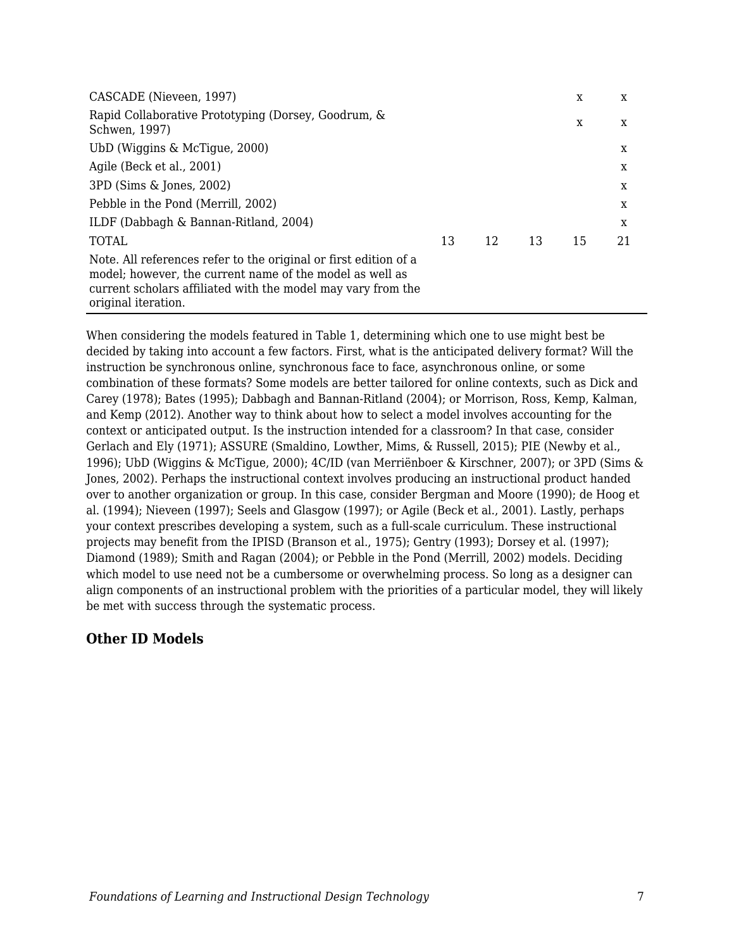| CASCADE (Nieveen, 1997)                                                                                                                                                                                             |    |    |    | X  | X  |
|---------------------------------------------------------------------------------------------------------------------------------------------------------------------------------------------------------------------|----|----|----|----|----|
| Rapid Collaborative Prototyping (Dorsey, Goodrum, &<br>Schwen, 1997)                                                                                                                                                |    |    |    | X  | X  |
| UbD (Wiggins & McTigue, 2000)                                                                                                                                                                                       |    |    |    |    | X  |
| Agile (Beck et al., 2001)                                                                                                                                                                                           |    |    |    |    | X  |
| 3PD (Sims & Jones, 2002)                                                                                                                                                                                            |    |    |    |    | X  |
| Pebble in the Pond (Merrill, 2002)                                                                                                                                                                                  |    |    |    |    | X  |
| ILDF (Dabbagh & Bannan-Ritland, 2004)                                                                                                                                                                               |    |    |    |    | X  |
| <b>TOTAL</b>                                                                                                                                                                                                        | 13 | 12 | 13 | 15 | 21 |
| Note. All references refer to the original or first edition of a<br>model; however, the current name of the model as well as<br>current scholars affiliated with the model may vary from the<br>original iteration. |    |    |    |    |    |

When considering the models featured in Table 1, determining which one to use might best be decided by taking into account a few factors. First, what is the anticipated delivery format? Will the instruction be synchronous online, synchronous face to face, asynchronous online, or some combination of these formats? Some models are better tailored for online contexts, such as Dick and Carey (1978); Bates (1995); Dabbagh and Bannan-Ritland (2004); or Morrison, Ross, Kemp, Kalman, and Kemp (2012). Another way to think about how to select a model involves accounting for the context or anticipated output. Is the instruction intended for a classroom? In that case, consider Gerlach and Ely (1971); ASSURE (Smaldino, Lowther, Mims, & Russell, 2015); PIE (Newby et al., 1996); UbD (Wiggins & McTigue, 2000); 4C/ID (van Merriënboer & Kirschner, 2007); or 3PD (Sims & Jones, 2002). Perhaps the instructional context involves producing an instructional product handed over to another organization or group. In this case, consider Bergman and Moore (1990); de Hoog et al. (1994); Nieveen (1997); Seels and Glasgow (1997); or Agile (Beck et al., 2001). Lastly, perhaps your context prescribes developing a system, such as a full-scale curriculum. These instructional projects may benefit from the IPISD (Branson et al., 1975); Gentry (1993); Dorsey et al. (1997); Diamond (1989); Smith and Ragan (2004); or Pebble in the Pond (Merrill, 2002) models. Deciding which model to use need not be a cumbersome or overwhelming process. So long as a designer can align components of an instructional problem with the priorities of a particular model, they will likely be met with success through the systematic process.

## **Other ID Models**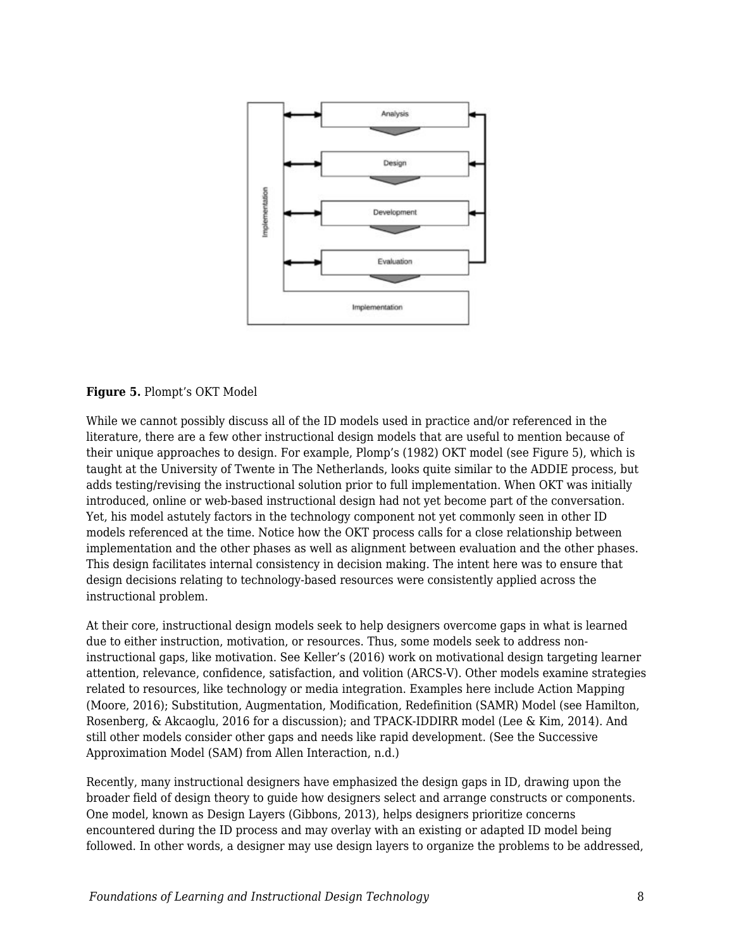

### **Figure 5.** Plompt's OKT Model

While we cannot possibly discuss all of the ID models used in practice and/or referenced in the literature, there are a few other instructional design models that are useful to mention because of their unique approaches to design. For example, Plomp's (1982) OKT model (see Figure 5), which is taught at the University of Twente in The Netherlands, looks quite similar to the ADDIE process, but adds testing/revising the instructional solution prior to full implementation. When OKT was initially introduced, online or web-based instructional design had not yet become part of the conversation. Yet, his model astutely factors in the technology component not yet commonly seen in other ID models referenced at the time. Notice how the OKT process calls for a close relationship between implementation and the other phases as well as alignment between evaluation and the other phases. This design facilitates internal consistency in decision making. The intent here was to ensure that design decisions relating to technology-based resources were consistently applied across the instructional problem.

At their core, instructional design models seek to help designers overcome gaps in what is learned due to either instruction, motivation, or resources. Thus, some models seek to address noninstructional gaps, like motivation. See Keller's (2016) work on motivational design targeting learner attention, relevance, confidence, satisfaction, and volition (ARCS-V). Other models examine strategies related to resources, like technology or media integration. Examples here include Action Mapping (Moore, 2016); Substitution, Augmentation, Modification, Redefinition (SAMR) Model (see Hamilton, Rosenberg, & Akcaoglu, 2016 for a discussion); and TPACK-IDDIRR model (Lee & Kim, 2014). And still other models consider other gaps and needs like rapid development. (See the Successive Approximation Model (SAM) from Allen Interaction, n.d.)

Recently, many instructional designers have emphasized the design gaps in ID, drawing upon the broader field of design theory to guide how designers select and arrange constructs or components. One model, known as Design Layers (Gibbons, 2013), helps designers prioritize concerns encountered during the ID process and may overlay with an existing or adapted ID model being followed. In other words, a designer may use design layers to organize the problems to be addressed,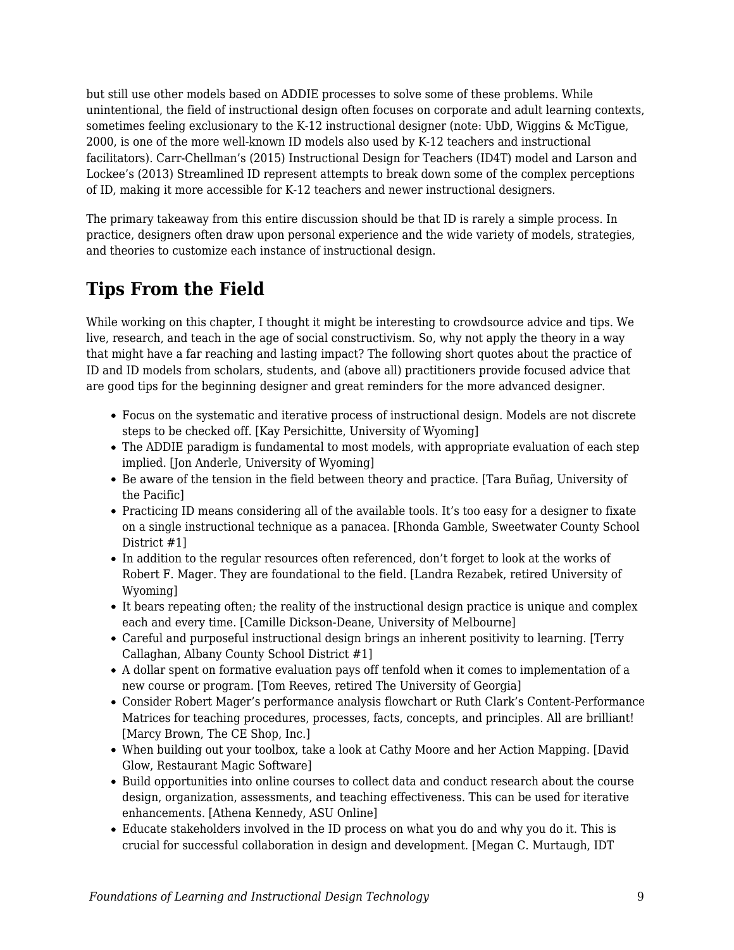but still use other models based on ADDIE processes to solve some of these problems. While unintentional, the field of instructional design often focuses on corporate and adult learning contexts, sometimes feeling exclusionary to the K-12 instructional designer (note: UbD, Wiggins & McTigue, 2000, is one of the more well-known ID models also used by K-12 teachers and instructional facilitators). Carr-Chellman's (2015) Instructional Design for Teachers (ID4T) model and Larson and Lockee's (2013) Streamlined ID represent attempts to break down some of the complex perceptions of ID, making it more accessible for K-12 teachers and newer instructional designers.

The primary takeaway from this entire discussion should be that ID is rarely a simple process. In practice, designers often draw upon personal experience and the wide variety of models, strategies, and theories to customize each instance of instructional design.

# **Tips From the Field**

While working on this chapter, I thought it might be interesting to crowdsource advice and tips. We live, research, and teach in the age of social constructivism. So, why not apply the theory in a way that might have a far reaching and lasting impact? The following short quotes about the practice of ID and ID models from scholars, students, and (above all) practitioners provide focused advice that are good tips for the beginning designer and great reminders for the more advanced designer.

- Focus on the systematic and iterative process of instructional design. Models are not discrete steps to be checked off. [Kay Persichitte, University of Wyoming]
- The ADDIE paradigm is fundamental to most models, with appropriate evaluation of each step implied. [Jon Anderle, University of Wyoming]
- Be aware of the tension in the field between theory and practice. [Tara Buñag, University of the Pacific]
- Practicing ID means considering all of the available tools. It's too easy for a designer to fixate on a single instructional technique as a panacea. [Rhonda Gamble, Sweetwater County School District #1]
- In addition to the regular resources often referenced, don't forget to look at the works of Robert F. Mager. They are foundational to the field. [Landra Rezabek, retired University of Wyoming]
- It bears repeating often; the reality of the instructional design practice is unique and complex each and every time. [Camille Dickson-Deane, University of Melbourne]
- Careful and purposeful instructional design brings an inherent positivity to learning. [Terry Callaghan, Albany County School District #1]
- A dollar spent on formative evaluation pays off tenfold when it comes to implementation of a new course or program. [Tom Reeves, retired The University of Georgia]
- Consider Robert Mager's performance analysis flowchart or Ruth Clark's Content-Performance Matrices for teaching procedures, processes, facts, concepts, and principles. All are brilliant! [Marcy Brown, The CE Shop, Inc.]
- When building out your toolbox, take a look at Cathy Moore and her Action Mapping. [David Glow, Restaurant Magic Software]
- Build opportunities into online courses to collect data and conduct research about the course design, organization, assessments, and teaching effectiveness. This can be used for iterative enhancements. [Athena Kennedy, ASU Online]
- Educate stakeholders involved in the ID process on what you do and why you do it. This is crucial for successful collaboration in design and development. [Megan C. Murtaugh, IDT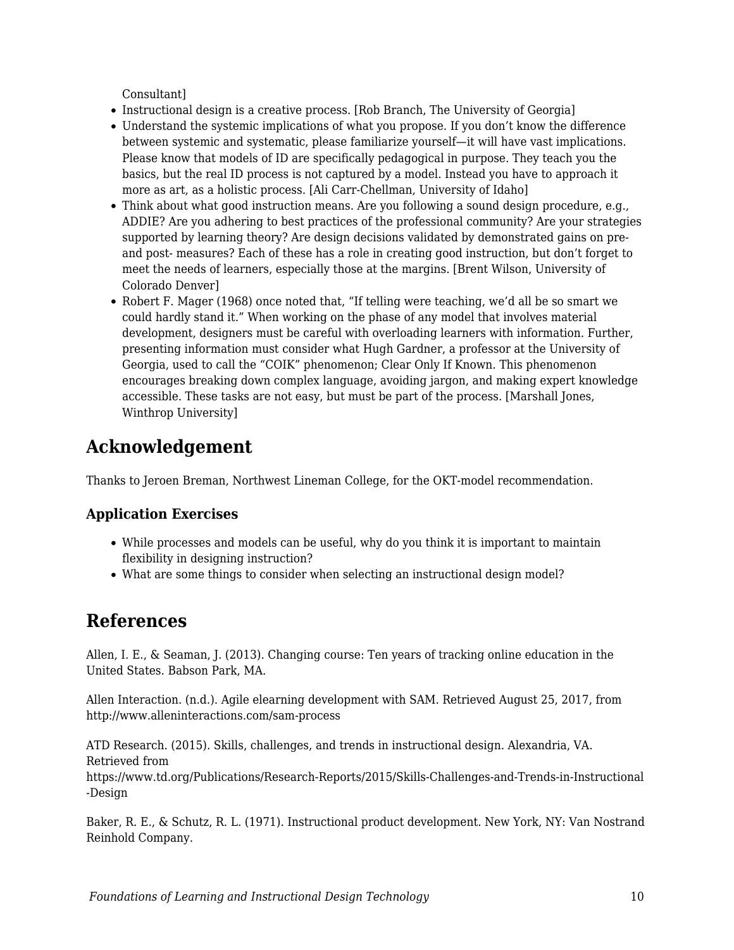Consultant]

- Instructional design is a creative process. [Rob Branch, The University of Georgia]
- Understand the systemic implications of what you propose. If you don't know the difference between systemic and systematic, please familiarize yourself—it will have vast implications. Please know that models of ID are specifically pedagogical in purpose. They teach you the basics, but the real ID process is not captured by a model. Instead you have to approach it more as art, as a holistic process. [Ali Carr-Chellman, University of Idaho]
- Think about what good instruction means. Are you following a sound design procedure, e.g., ADDIE? Are you adhering to best practices of the professional community? Are your strategies supported by learning theory? Are design decisions validated by demonstrated gains on preand post- measures? Each of these has a role in creating good instruction, but don't forget to meet the needs of learners, especially those at the margins. [Brent Wilson, University of Colorado Denver]
- Robert F. Mager (1968) once noted that, "If telling were teaching, we'd all be so smart we could hardly stand it." When working on the phase of any model that involves material development, designers must be careful with overloading learners with information. Further, presenting information must consider what Hugh Gardner, a professor at the University of Georgia, used to call the "COIK" phenomenon; Clear Only If Known. This phenomenon encourages breaking down complex language, avoiding jargon, and making expert knowledge accessible. These tasks are not easy, but must be part of the process. [Marshall Jones, Winthrop University]

# **Acknowledgement**

Thanks to Jeroen Breman, Northwest Lineman College, for the OKT-model recommendation.

## **Application Exercises**

- While processes and models can be useful, why do you think it is important to maintain flexibility in designing instruction?
- What are some things to consider when selecting an instructional design model?

## **References**

Allen, I. E., & Seaman, J. (2013). Changing course: Ten years of tracking online education in the United States. Babson Park, MA.

Allen Interaction. (n.d.). Agile elearning development with SAM. Retrieved August 25, 2017, from http://www.alleninteractions.com/sam-process

ATD Research. (2015). Skills, challenges, and trends in instructional design. Alexandria, VA. Retrieved from

https://www.td.org/Publications/Research-Reports/2015/Skills-Challenges-and-Trends-in-Instructional -Design

Baker, R. E., & Schutz, R. L. (1971). Instructional product development. New York, NY: Van Nostrand Reinhold Company.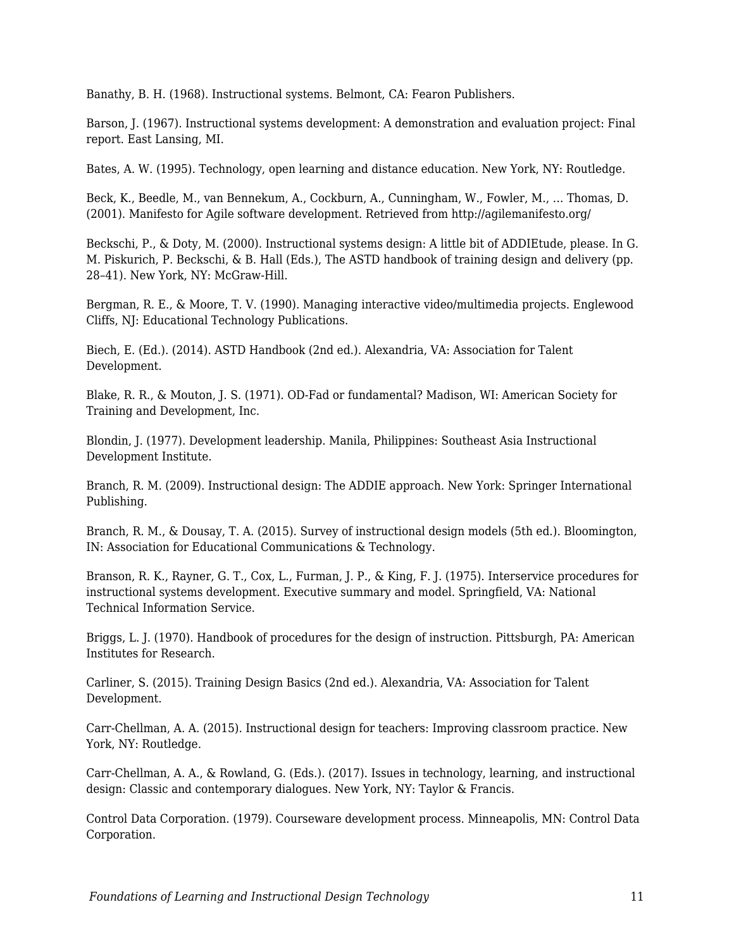Banathy, B. H. (1968). Instructional systems. Belmont, CA: Fearon Publishers.

Barson, J. (1967). Instructional systems development: A demonstration and evaluation project: Final report. East Lansing, MI.

Bates, A. W. (1995). Technology, open learning and distance education. New York, NY: Routledge.

Beck, K., Beedle, M., van Bennekum, A., Cockburn, A., Cunningham, W., Fowler, M., … Thomas, D. (2001). Manifesto for Agile software development. Retrieved from http://agilemanifesto.org/

Beckschi, P., & Doty, M. (2000). Instructional systems design: A little bit of ADDIEtude, please. In G. M. Piskurich, P. Beckschi, & B. Hall (Eds.), The ASTD handbook of training design and delivery (pp. 28–41). New York, NY: McGraw-Hill.

Bergman, R. E., & Moore, T. V. (1990). Managing interactive video/multimedia projects. Englewood Cliffs, NJ: Educational Technology Publications.

Biech, E. (Ed.). (2014). ASTD Handbook (2nd ed.). Alexandria, VA: Association for Talent Development.

Blake, R. R., & Mouton, J. S. (1971). OD-Fad or fundamental? Madison, WI: American Society for Training and Development, Inc.

Blondin, J. (1977). Development leadership. Manila, Philippines: Southeast Asia Instructional Development Institute.

Branch, R. M. (2009). Instructional design: The ADDIE approach. New York: Springer International Publishing.

Branch, R. M., & Dousay, T. A. (2015). Survey of instructional design models (5th ed.). Bloomington, IN: Association for Educational Communications & Technology.

Branson, R. K., Rayner, G. T., Cox, L., Furman, J. P., & King, F. J. (1975). Interservice procedures for instructional systems development. Executive summary and model. Springfield, VA: National Technical Information Service.

Briggs, L. J. (1970). Handbook of procedures for the design of instruction. Pittsburgh, PA: American Institutes for Research.

Carliner, S. (2015). Training Design Basics (2nd ed.). Alexandria, VA: Association for Talent Development.

Carr-Chellman, A. A. (2015). Instructional design for teachers: Improving classroom practice. New York, NY: Routledge.

Carr-Chellman, A. A., & Rowland, G. (Eds.). (2017). Issues in technology, learning, and instructional design: Classic and contemporary dialogues. New York, NY: Taylor & Francis.

Control Data Corporation. (1979). Courseware development process. Minneapolis, MN: Control Data Corporation.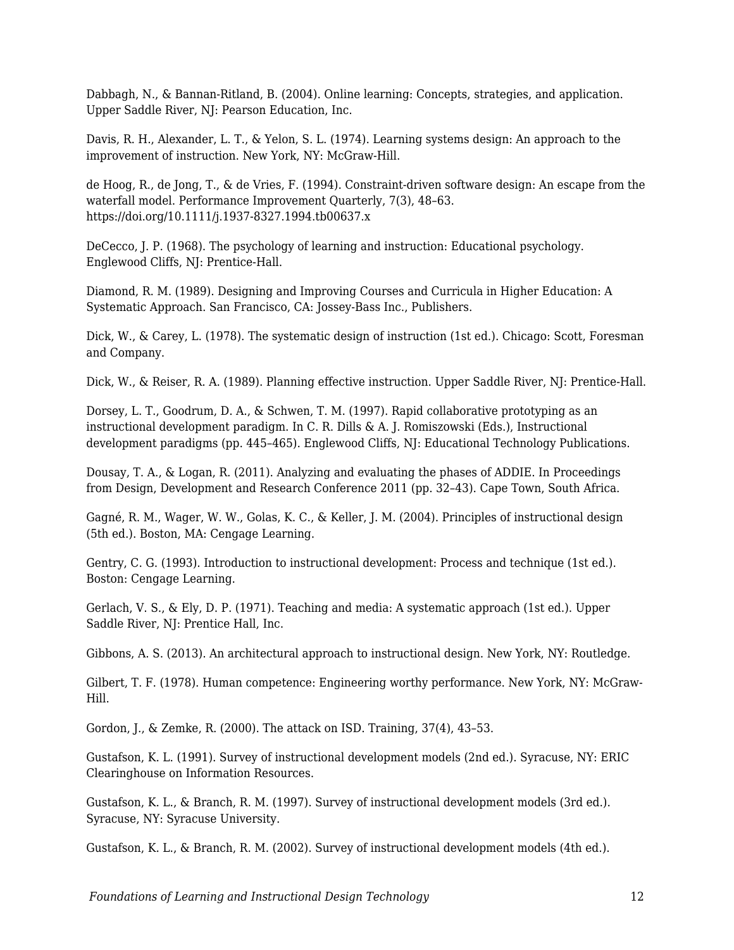Dabbagh, N., & Bannan-Ritland, B. (2004). Online learning: Concepts, strategies, and application. Upper Saddle River, NJ: Pearson Education, Inc.

Davis, R. H., Alexander, L. T., & Yelon, S. L. (1974). Learning systems design: An approach to the improvement of instruction. New York, NY: McGraw-Hill.

de Hoog, R., de Jong, T., & de Vries, F. (1994). Constraint-driven software design: An escape from the waterfall model. Performance Improvement Quarterly, 7(3), 48–63. https://doi.org/10.1111/j.1937-8327.1994.tb00637.x

DeCecco, J. P. (1968). The psychology of learning and instruction: Educational psychology. Englewood Cliffs, NJ: Prentice-Hall.

Diamond, R. M. (1989). Designing and Improving Courses and Curricula in Higher Education: A Systematic Approach. San Francisco, CA: Jossey-Bass Inc., Publishers.

Dick, W., & Carey, L. (1978). The systematic design of instruction (1st ed.). Chicago: Scott, Foresman and Company.

Dick, W., & Reiser, R. A. (1989). Planning effective instruction. Upper Saddle River, NJ: Prentice-Hall.

Dorsey, L. T., Goodrum, D. A., & Schwen, T. M. (1997). Rapid collaborative prototyping as an instructional development paradigm. In C. R. Dills & A. J. Romiszowski (Eds.), Instructional development paradigms (pp. 445–465). Englewood Cliffs, NJ: Educational Technology Publications.

Dousay, T. A., & Logan, R. (2011). Analyzing and evaluating the phases of ADDIE. In Proceedings from Design, Development and Research Conference 2011 (pp. 32–43). Cape Town, South Africa.

Gagné, R. M., Wager, W. W., Golas, K. C., & Keller, J. M. (2004). Principles of instructional design (5th ed.). Boston, MA: Cengage Learning.

Gentry, C. G. (1993). Introduction to instructional development: Process and technique (1st ed.). Boston: Cengage Learning.

Gerlach, V. S., & Ely, D. P. (1971). Teaching and media: A systematic approach (1st ed.). Upper Saddle River, NJ: Prentice Hall, Inc.

Gibbons, A. S. (2013). An architectural approach to instructional design. New York, NY: Routledge.

Gilbert, T. F. (1978). Human competence: Engineering worthy performance. New York, NY: McGraw-Hill.

Gordon, J., & Zemke, R. (2000). The attack on ISD. Training, 37(4), 43–53.

Gustafson, K. L. (1991). Survey of instructional development models (2nd ed.). Syracuse, NY: ERIC Clearinghouse on Information Resources.

Gustafson, K. L., & Branch, R. M. (1997). Survey of instructional development models (3rd ed.). Syracuse, NY: Syracuse University.

Gustafson, K. L., & Branch, R. M. (2002). Survey of instructional development models (4th ed.).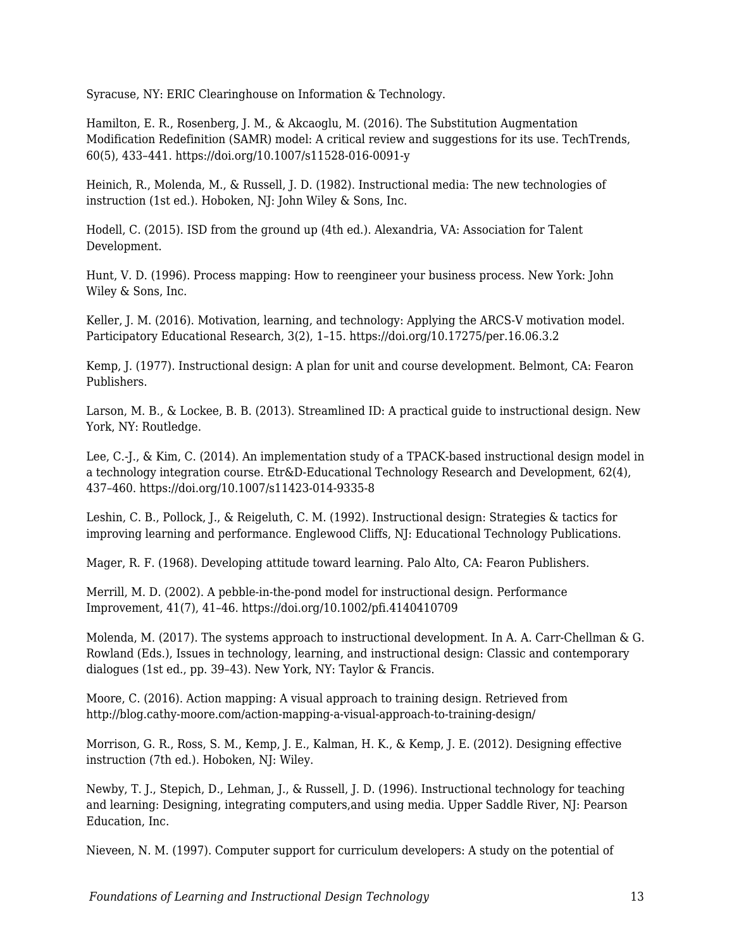Syracuse, NY: ERIC Clearinghouse on Information & Technology.

Hamilton, E. R., Rosenberg, J. M., & Akcaoglu, M. (2016). The Substitution Augmentation Modification Redefinition (SAMR) model: A critical review and suggestions for its use. TechTrends, 60(5), 433–441. https://doi.org/10.1007/s11528-016-0091-y

Heinich, R., Molenda, M., & Russell, J. D. (1982). Instructional media: The new technologies of instruction (1st ed.). Hoboken, NJ: John Wiley & Sons, Inc.

Hodell, C. (2015). ISD from the ground up (4th ed.). Alexandria, VA: Association for Talent Development.

Hunt, V. D. (1996). Process mapping: How to reengineer your business process. New York: John Wiley & Sons, Inc.

Keller, J. M. (2016). Motivation, learning, and technology: Applying the ARCS-V motivation model. Participatory Educational Research, 3(2), 1–15. https://doi.org/10.17275/per.16.06.3.2

Kemp, J. (1977). Instructional design: A plan for unit and course development. Belmont, CA: Fearon Publishers.

Larson, M. B., & Lockee, B. B. (2013). Streamlined ID: A practical guide to instructional design. New York, NY: Routledge.

Lee, C.-J., & Kim, C. (2014). An implementation study of a TPACK-based instructional design model in a technology integration course. Etr&D-Educational Technology Research and Development, 62(4), 437–460. https://doi.org/10.1007/s11423-014-9335-8

Leshin, C. B., Pollock, J., & Reigeluth, C. M. (1992). Instructional design: Strategies & tactics for improving learning and performance. Englewood Cliffs, NJ: Educational Technology Publications.

Mager, R. F. (1968). Developing attitude toward learning. Palo Alto, CA: Fearon Publishers.

Merrill, M. D. (2002). A pebble-in-the-pond model for instructional design. Performance Improvement, 41(7), 41–46. https://doi.org/10.1002/pfi.4140410709

Molenda, M. (2017). The systems approach to instructional development. In A. A. Carr-Chellman & G. Rowland (Eds.), Issues in technology, learning, and instructional design: Classic and contemporary dialogues (1st ed., pp. 39–43). New York, NY: Taylor & Francis.

Moore, C. (2016). Action mapping: A visual approach to training design. Retrieved from http://blog.cathy-moore.com/action-mapping-a-visual-approach-to-training-design/

Morrison, G. R., Ross, S. M., Kemp, J. E., Kalman, H. K., & Kemp, J. E. (2012). Designing effective instruction (7th ed.). Hoboken, NJ: Wiley.

Newby, T. J., Stepich, D., Lehman, J., & Russell, J. D. (1996). Instructional technology for teaching and learning: Designing, integrating computers,and using media. Upper Saddle River, NJ: Pearson Education, Inc.

Nieveen, N. M. (1997). Computer support for curriculum developers: A study on the potential of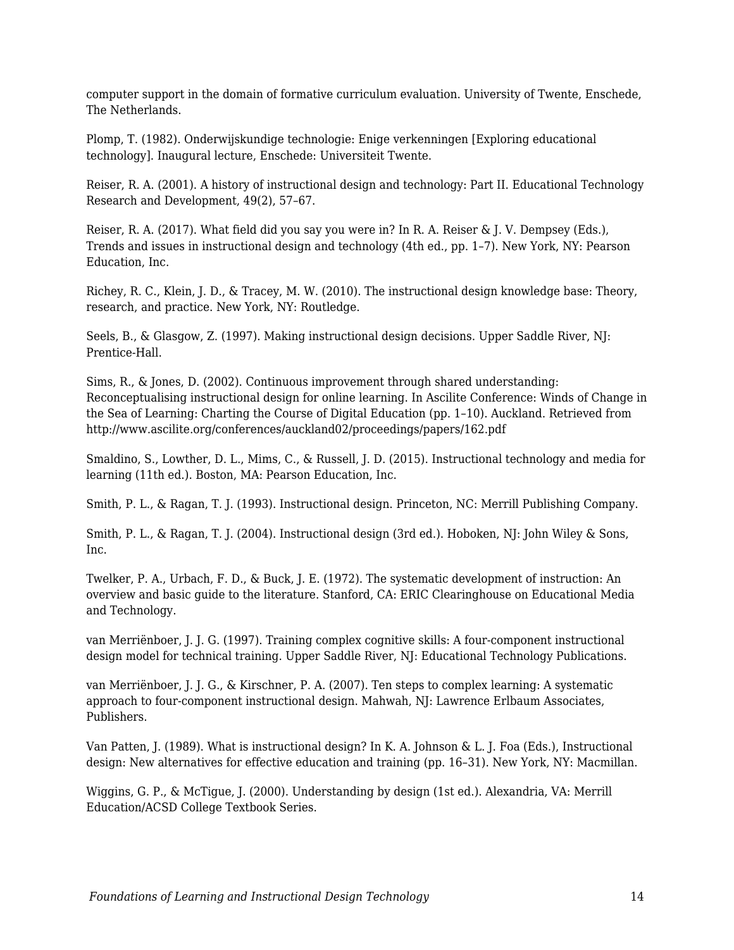computer support in the domain of formative curriculum evaluation. University of Twente, Enschede, The Netherlands.

Plomp, T. (1982). Onderwijskundige technologie: Enige verkenningen [Exploring educational technology]. Inaugural lecture, Enschede: Universiteit Twente.

Reiser, R. A. (2001). A history of instructional design and technology: Part II. Educational Technology Research and Development, 49(2), 57–67.

Reiser, R. A. (2017). What field did you say you were in? In R. A. Reiser & J. V. Dempsey (Eds.), Trends and issues in instructional design and technology (4th ed., pp. 1–7). New York, NY: Pearson Education, Inc.

Richey, R. C., Klein, J. D., & Tracey, M. W. (2010). The instructional design knowledge base: Theory, research, and practice. New York, NY: Routledge.

Seels, B., & Glasgow, Z. (1997). Making instructional design decisions. Upper Saddle River, NJ: Prentice-Hall.

Sims, R., & Jones, D. (2002). Continuous improvement through shared understanding: Reconceptualising instructional design for online learning. In Ascilite Conference: Winds of Change in the Sea of Learning: Charting the Course of Digital Education (pp. 1–10). Auckland. Retrieved from http://www.ascilite.org/conferences/auckland02/proceedings/papers/162.pdf

Smaldino, S., Lowther, D. L., Mims, C., & Russell, J. D. (2015). Instructional technology and media for learning (11th ed.). Boston, MA: Pearson Education, Inc.

Smith, P. L., & Ragan, T. J. (1993). Instructional design. Princeton, NC: Merrill Publishing Company.

Smith, P. L., & Ragan, T. J. (2004). Instructional design (3rd ed.). Hoboken, NJ: John Wiley & Sons, Inc.

Twelker, P. A., Urbach, F. D., & Buck, J. E. (1972). The systematic development of instruction: An overview and basic guide to the literature. Stanford, CA: ERIC Clearinghouse on Educational Media and Technology.

van Merriënboer, J. J. G. (1997). Training complex cognitive skills: A four-component instructional design model for technical training. Upper Saddle River, NJ: Educational Technology Publications.

van Merriënboer, J. J. G., & Kirschner, P. A. (2007). Ten steps to complex learning: A systematic approach to four-component instructional design. Mahwah, NJ: Lawrence Erlbaum Associates, Publishers.

Van Patten, J. (1989). What is instructional design? In K. A. Johnson & L. J. Foa (Eds.), Instructional design: New alternatives for effective education and training (pp. 16–31). New York, NY: Macmillan.

Wiggins, G. P., & McTigue, J. (2000). Understanding by design (1st ed.). Alexandria, VA: Merrill Education/ACSD College Textbook Series.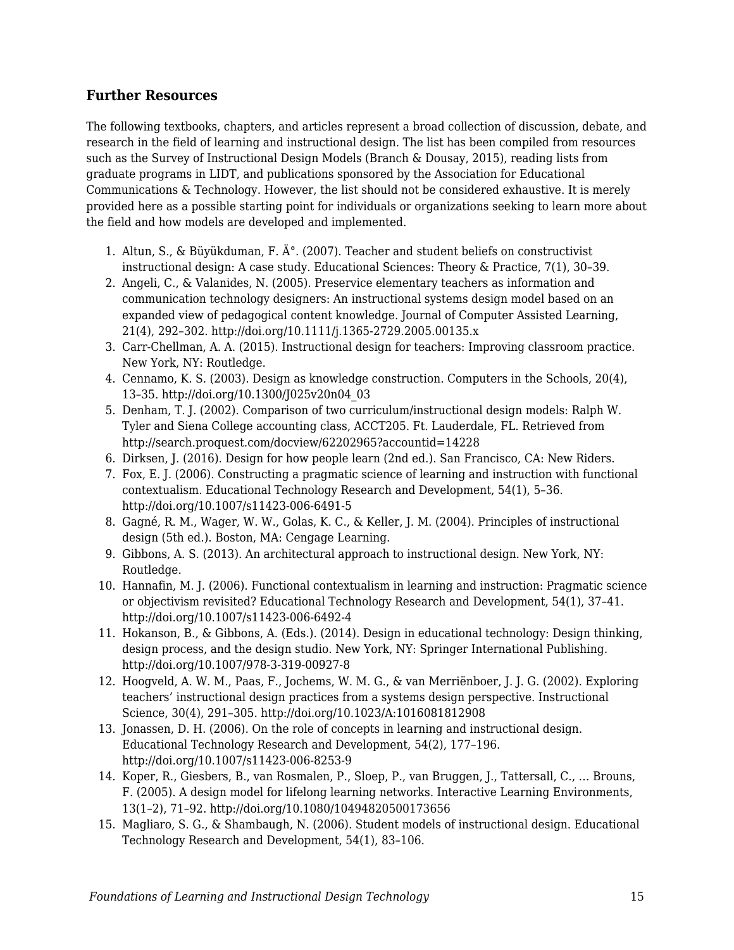### **Further Resources**

The following textbooks, chapters, and articles represent a broad collection of discussion, debate, and research in the field of learning and instructional design. The list has been compiled from resources such as the Survey of Instructional Design Models (Branch & Dousay, 2015), reading lists from graduate programs in LIDT, and publications sponsored by the Association for Educational Communications & Technology. However, the list should not be considered exhaustive. It is merely provided here as a possible starting point for individuals or organizations seeking to learn more about the field and how models are developed and implemented.

- 1. Altun, S., & Büyükduman, F.  $\AA$ °. (2007). Teacher and student beliefs on constructivist instructional design: A case study. Educational Sciences: Theory & Practice, 7(1), 30–39.
- 2. Angeli, C., & Valanides, N. (2005). Preservice elementary teachers as information and communication technology designers: An instructional systems design model based on an expanded view of pedagogical content knowledge. Journal of Computer Assisted Learning, 21(4), 292–302. http://doi.org/10.1111/j.1365-2729.2005.00135.x
- 3. Carr-Chellman, A. A. (2015). Instructional design for teachers: Improving classroom practice. New York, NY: Routledge.
- 4. Cennamo, K. S. (2003). Design as knowledge construction. Computers in the Schools, 20(4), 13–35. http://doi.org/10.1300/J025v20n04\_03
- 5. Denham, T. J. (2002). Comparison of two curriculum/instructional design models: Ralph W. Tyler and Siena College accounting class, ACCT205. Ft. Lauderdale, FL. Retrieved from http://search.proquest.com/docview/62202965?accountid=14228
- 6. Dirksen, J. (2016). Design for how people learn (2nd ed.). San Francisco, CA: New Riders.
- 7. Fox, E. J. (2006). Constructing a pragmatic science of learning and instruction with functional contextualism. Educational Technology Research and Development, 54(1), 5–36. http://doi.org/10.1007/s11423-006-6491-5
- 8. Gagné, R. M., Wager, W. W., Golas, K. C., & Keller, J. M. (2004). Principles of instructional design (5th ed.). Boston, MA: Cengage Learning.
- 9. Gibbons, A. S. (2013). An architectural approach to instructional design. New York, NY: Routledge.
- 10. Hannafin, M. J. (2006). Functional contextualism in learning and instruction: Pragmatic science or objectivism revisited? Educational Technology Research and Development, 54(1), 37–41. http://doi.org/10.1007/s11423-006-6492-4
- 11. Hokanson, B., & Gibbons, A. (Eds.). (2014). Design in educational technology: Design thinking, design process, and the design studio. New York, NY: Springer International Publishing. http://doi.org/10.1007/978-3-319-00927-8
- 12. Hoogveld, A. W. M., Paas, F., Jochems, W. M. G., & van Merriënboer, J. J. G. (2002). Exploring teachers' instructional design practices from a systems design perspective. Instructional Science, 30(4), 291–305. http://doi.org/10.1023/A:1016081812908
- 13. Jonassen, D. H. (2006). On the role of concepts in learning and instructional design. Educational Technology Research and Development, 54(2), 177–196. http://doi.org/10.1007/s11423-006-8253-9
- 14. Koper, R., Giesbers, B., van Rosmalen, P., Sloep, P., van Bruggen, J., Tattersall, C., … Brouns, F. (2005). A design model for lifelong learning networks. Interactive Learning Environments, 13(1–2), 71–92. http://doi.org/10.1080/10494820500173656
- 15. Magliaro, S. G., & Shambaugh, N. (2006). Student models of instructional design. Educational Technology Research and Development, 54(1), 83–106.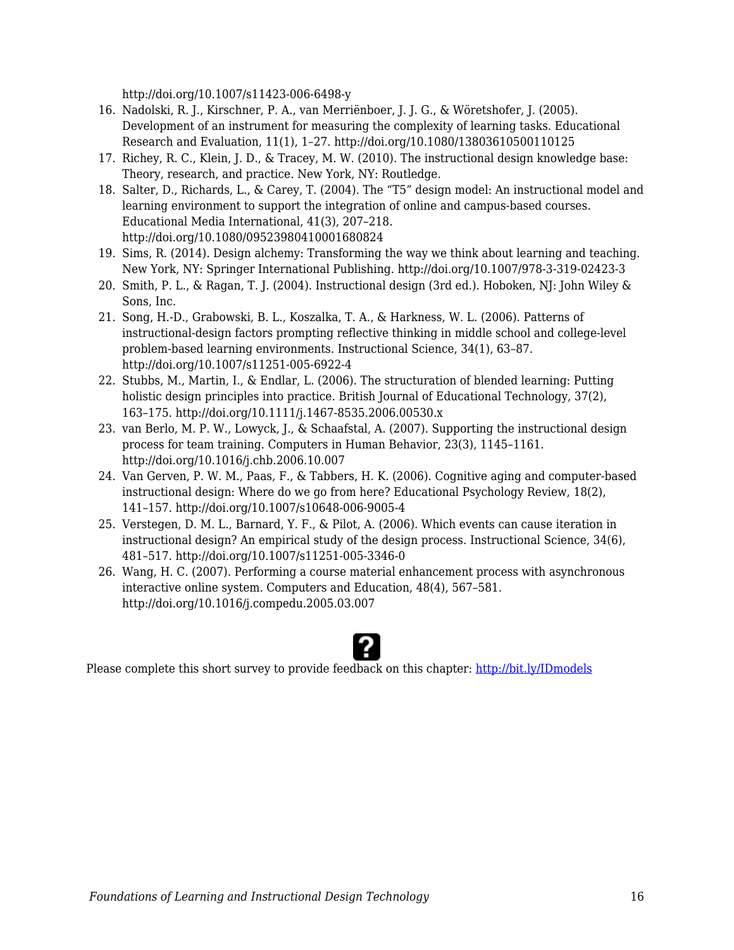http://doi.org/10.1007/s11423-006-6498-y

- 16. Nadolski, R. J., Kirschner, P. A., van Merriënboer, J. J. G., & Wöretshofer, J. (2005). Development of an instrument for measuring the complexity of learning tasks. Educational Research and Evaluation, 11(1), 1–27. http://doi.org/10.1080/13803610500110125
- 17. Richey, R. C., Klein, J. D., & Tracey, M. W. (2010). The instructional design knowledge base: Theory, research, and practice. New York, NY: Routledge.
- 18. Salter, D., Richards, L., & Carey, T. (2004). The "T5" design model: An instructional model and learning environment to support the integration of online and campus-based courses. Educational Media International, 41(3), 207–218. http://doi.org/10.1080/09523980410001680824
- 19. Sims, R. (2014). Design alchemy: Transforming the way we think about learning and teaching. New York, NY: Springer International Publishing. http://doi.org/10.1007/978-3-319-02423-3
- 20. Smith, P. L., & Ragan, T. J. (2004). Instructional design (3rd ed.). Hoboken, NJ: John Wiley & Sons, Inc.
- 21. Song, H.-D., Grabowski, B. L., Koszalka, T. A., & Harkness, W. L. (2006). Patterns of instructional-design factors prompting reflective thinking in middle school and college-level problem-based learning environments. Instructional Science, 34(1), 63–87. http://doi.org/10.1007/s11251-005-6922-4
- 22. Stubbs, M., Martin, I., & Endlar, L. (2006). The structuration of blended learning: Putting holistic design principles into practice. British Journal of Educational Technology, 37(2), 163–175. http://doi.org/10.1111/j.1467-8535.2006.00530.x
- 23. van Berlo, M. P. W., Lowyck, J., & Schaafstal, A. (2007). Supporting the instructional design process for team training. Computers in Human Behavior, 23(3), 1145–1161. http://doi.org/10.1016/j.chb.2006.10.007
- 24. Van Gerven, P. W. M., Paas, F., & Tabbers, H. K. (2006). Cognitive aging and computer-based instructional design: Where do we go from here? Educational Psychology Review, 18(2), 141–157. http://doi.org/10.1007/s10648-006-9005-4
- 25. Verstegen, D. M. L., Barnard, Y. F., & Pilot, A. (2006). Which events can cause iteration in instructional design? An empirical study of the design process. Instructional Science, 34(6), 481–517. http://doi.org/10.1007/s11251-005-3346-0
- 26. Wang, H. C. (2007). Performing a course material enhancement process with asynchronous interactive online system. Computers and Education, 48(4), 567–581. http://doi.org/10.1016/j.compedu.2005.03.007



Please complete this short survey to provide feedback on this chapter: <http://bit.ly/IDmodels>